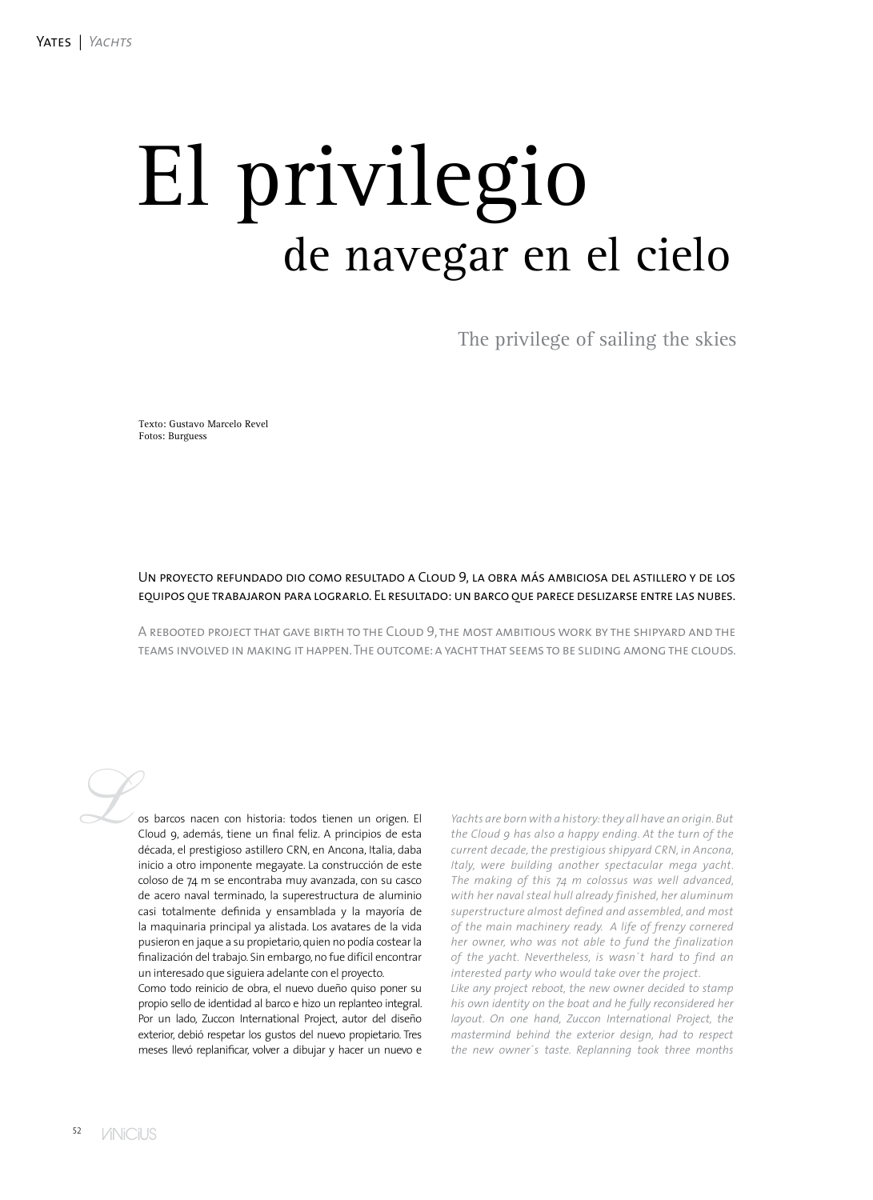## El privilegio de navegar en el cielo

The privilege of sailing the skies

Texto: Gustavo Marcelo Revel Fotos: Burguess

## Un proyecto refundado dio como resultado a Cloud 9, la obra más ambiciosa del astillero y de los equipos que trabajaron para lograrlo. El resultado: un barco que parece deslizarse entre las nubes.

A rebooted project that gave birth to the Cloud 9, the most ambitious work by the shipyard and the teams involved in making it happen. The outcome: a yacht that seems to be sliding among the clouds.

os barcos nacen con historia: todos tienen un origen. El Cloud 9, además, tiene un final feliz. A principios de esta década, el prestigioso astillero CRN, en Ancona, Italia, daba inicio a otro imponente megayate. La construcción de este coloso de 74 m se encontraba muy avanzada, con su casco de acero naval terminado, la superestructura de aluminio casi totalmente definida y ensamblada y la mayoría de la maquinaria principal ya alistada. Los avatares de la vida pusieron en jaque a su propietario, quien no podía costear la finalización del trabajo. Sin embargo, no fue difícil encontrar un interesado que siguiera adelante con el proyecto.

Como todo reinicio de obra, el nuevo dueño quiso poner su propio sello de identidad al barco e hizo un replanteo integral. Por un lado, Zuccon International Project, autor del diseño exterior, debió respetar los gustos del nuevo propietario. Tres meses llevó replanificar, volver a dibujar y hacer un nuevo e

*Yachts are born with a history: they all have an origin. But the Cloud 9 has also a happy ending. At the turn of the current decade, the prestigious shipyard CRN, in Ancona, Italy, were building another spectacular mega yacht. The making of this 74 m colossus was well advanced, with her naval steal hull already finished, her aluminum superstructure almost defined and assembled, and most of the main machinery ready. A life of frenzy cornered her owner, who was not able to fund the finalization of the yacht. Nevertheless, is wasn´t hard to find an interested party who would take over the project.*

*Like any project reboot, the new owner decided to stamp his own identity on the boat and he fully reconsidered her layout. On one hand, Zuccon International Project, the mastermind behind the exterior design, had to respect the new owner´s taste. Replanning took three months*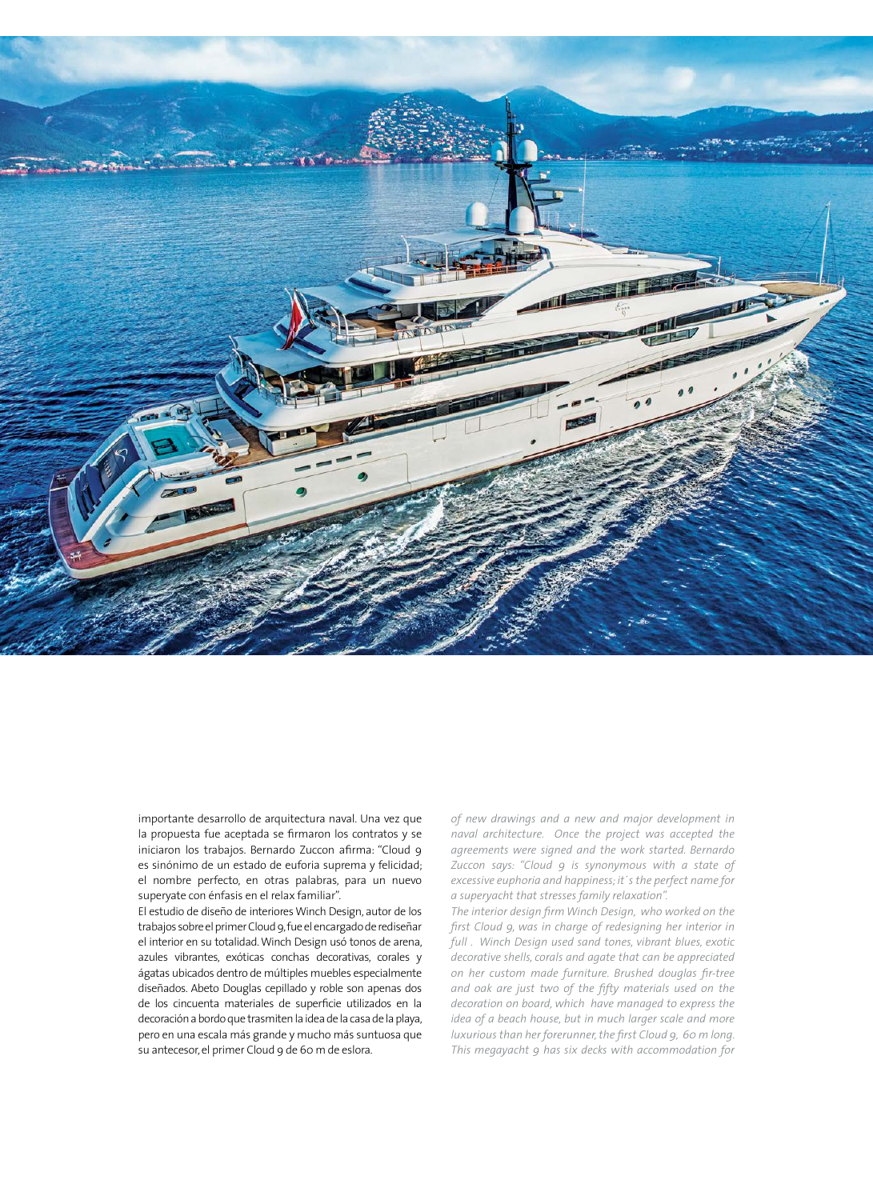

importante desarrollo de arquitectura naval. Una vez que la propuesta fue aceptada se firmaron los contratos y se iniciaron los trabajos. Bernardo Zuccon afirma: "Cloud 9 es sinónimo de un estado de euforia suprema y felicidad; el nombre perfecto, en otras palabras, para un nuevo superyate con énfasis en el relax familiar".

El estudio de diseño de interiores Winch Design, autor de los trabajos sobre el primer Cloud 9, fue el encargado de rediseñar el interior en su totalidad. Winch Design usó tonos de arena, azules vibrantes, exóticas conchas decorativas, corales y ágatas ubicados dentro de múltiples muebles especialmente diseñados. Abeto Douglas cepillado y roble son apenas dos de los cincuenta materiales de superficie utilizados en la decoración a bordo que trasmiten la idea de la casa de la playa, pero en una escala más grande y mucho más suntuosa que su antecesor, el primer Cloud 9 de 60 m de eslora.

*of new drawings and a new and major development in naval architecture. Once the project was accepted the agreements were signed and the work started. Bernardo Zuccon says: "Cloud 9 is synonymous with a state of excessive euphoria and happiness; it´s the perfect name for a superyacht that stresses family relaxation".*

*The interior design firm Winch Design, who worked on the first Cloud 9, was in charge of redesigning her interior in full . Winch Design used sand tones, vibrant blues, exotic decorative shells, corals and agate that can be appreciated on her custom made furniture. Brushed douglas fir-tree and oak are just two of the fifty materials used on the decoration on board, which have managed to express the idea of a beach house, but in much larger scale and more luxurious than her forerunner, the first Cloud 9, 60 m long. This megayacht 9 has six decks with accommodation for*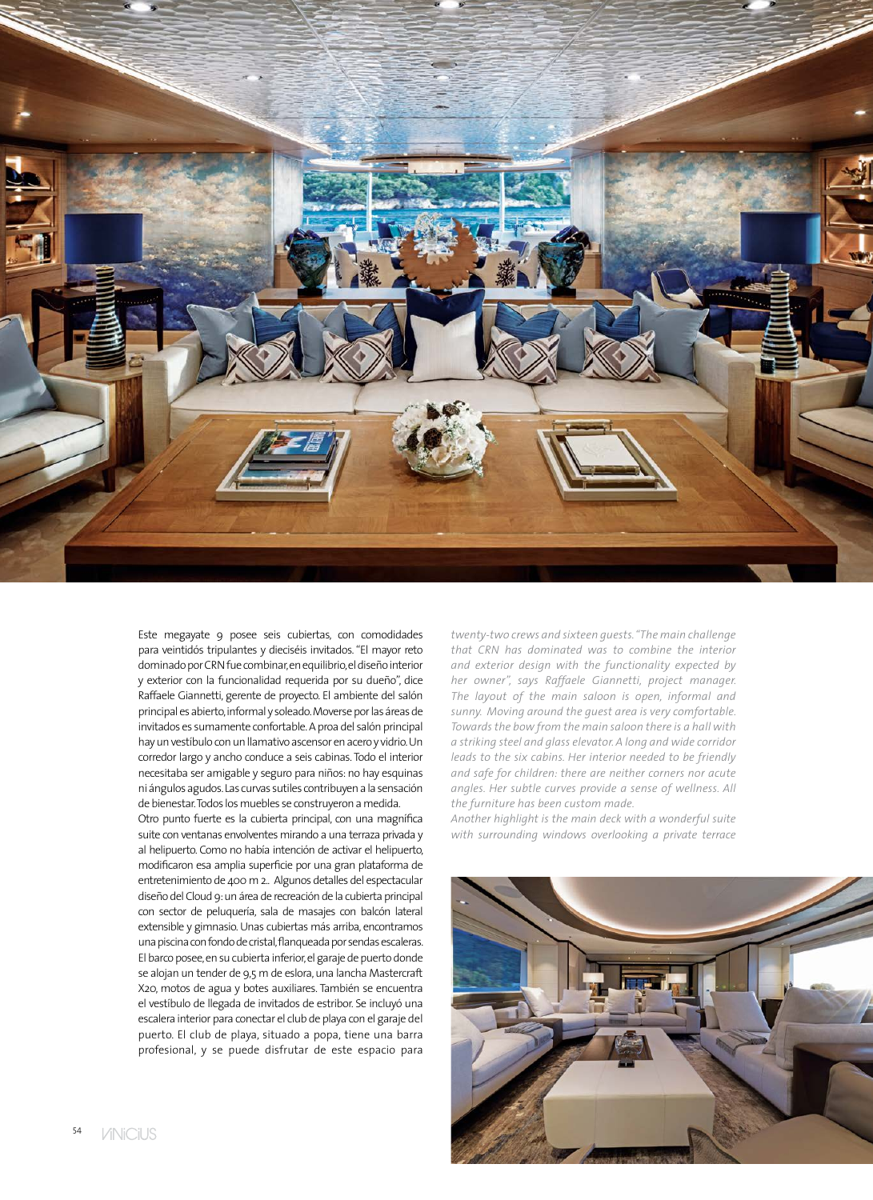

Este megayate 9 posee seis cubiertas, con comodidades para veintidós tripulantes y dieciséis invitados. "El mayor reto dominado por CRN fue combinar, en equilibrio, el diseño interior y exterior con la funcionalidad requerida por su dueño", dice Raffaele Giannetti, gerente de proyecto. El ambiente del salón principal es abierto, informal y soleado. Moverse por las áreas de invitados es sumamente confortable. A proa del salón principal hay un vestíbulo con un llamativo ascensor en acero y vidrio. Un corredor largo y ancho conduce a seis cabinas. Todo el interior necesitaba ser amigable y seguro para niños: no hay esquinas ni ángulos agudos. Las curvas sutiles contribuyen a la sensación de bienestar. Todos los muebles se construyeron a medida.

Otro punto fuerte es la cubierta principal, con una magnífica suite con ventanas envolventes mirando a una terraza privada y al helipuerto. Como no había intención de activar el helipuerto, modificaron esa amplia superficie por una gran plataforma de entretenimiento de 400 m 2.. Algunos detalles del espectacular diseño del Cloud 9: un área de recreación de la cubierta principal con sector de peluquería, sala de masajes con balcón lateral extensible y gimnasio. Unas cubiertas más arriba, encontramos una piscina con fondo de cristal, flanqueada por sendas escaleras. El barco posee, en su cubierta inferior, el garaje de puerto donde se alojan un tender de 9,5 m de eslora, una lancha Mastercraft X20, motos de agua y botes auxiliares. También se encuentra el vestíbulo de llegada de invitados de estribor. Se incluyó una escalera interior para conectar el club de playa con el garaje del puerto. El club de playa, situado a popa, tiene una barra profesional, y se puede disfrutar de este espacio para

*twenty-two crews and sixteen guests. "The main challenge that CRN has dominated was to combine the interior and exterior design with the functionality expected by her owner", says Raffaele Giannetti, project manager. The layout of the main saloon is open, informal and sunny. Moving around the guest area is very comfortable. Towards the bow from the main saloon there is a hall with a striking steel and glass elevator. A long and wide corridor leads to the six cabins. Her interior needed to be friendly and safe for children: there are neither corners nor acute angles. Her subtle curves provide a sense of wellness. All the furniture has been custom made.*

*Another highlight is the main deck with a wonderful suite with surrounding windows overlooking a private terrace* 

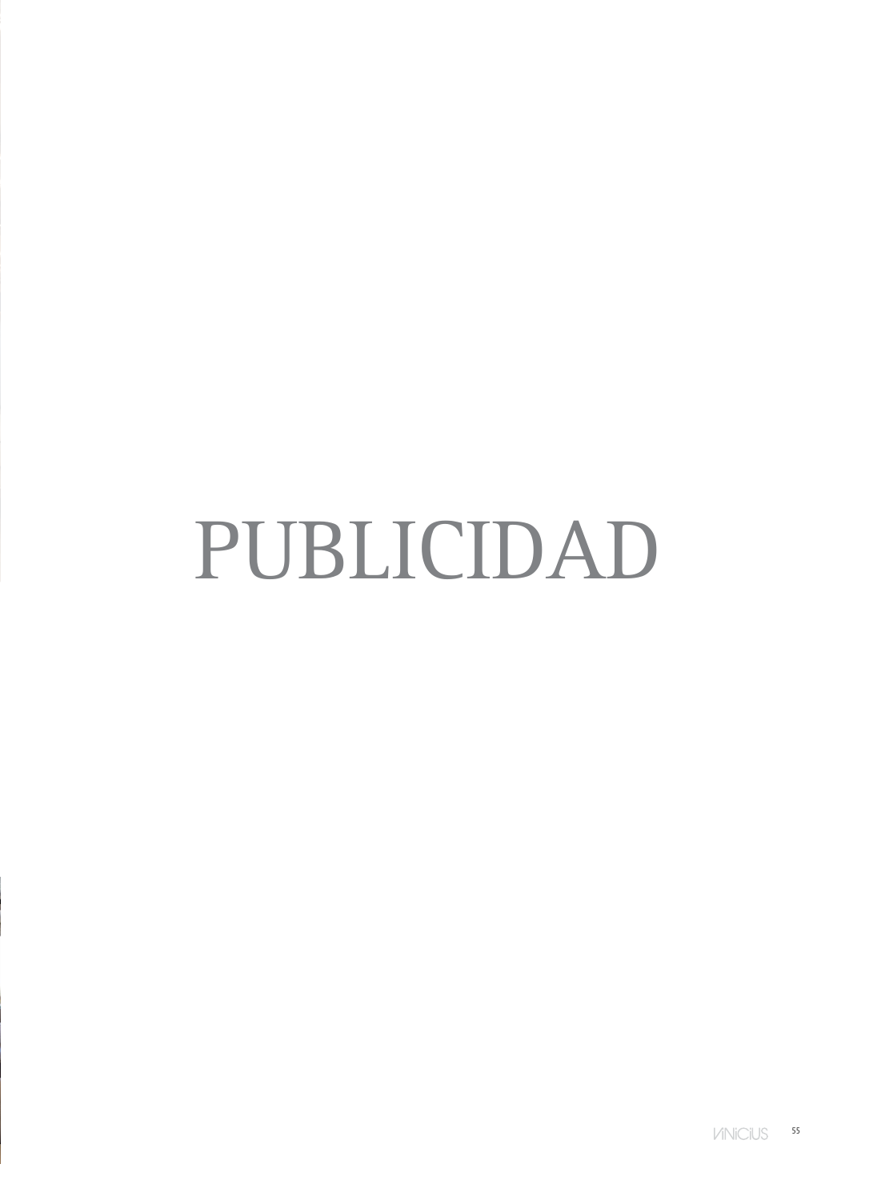## PUBLICIDAD